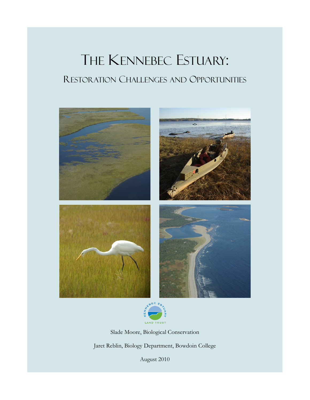# THE KENNEBEC ESTUARY: RESTORATION CHALLENGES AND OPPORTUNITIES





Slade Moore, Biological Conservation Jaret Reblin, Biology Department, Bowdoin College

August 2010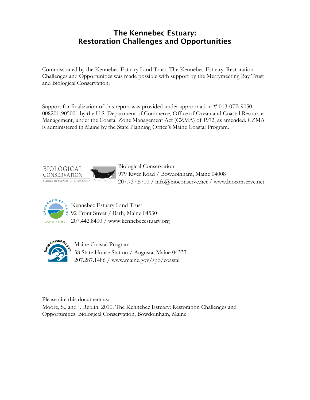## **The Kennebec Estuary: Restoration Challenges and Opportunities**

Commissioned by the Kennebec Estuary Land Trust, The Kennebec Estuary: Restoration Challenges and Opportunities was made possible with support by the Merrymeeting Bay Trust and Biological Conservation.

Support for finalization of this report was provided under appropriation # 013-07B-9050- 008201-905001 by the U.S. Department of Commerce, Office of Ocean and Coastal Resource Management, under the Coastal Zone Management Act (CZMA) of 1972, as amended. CZMA is administered in Maine by the State Planning Office's Maine Coastal Program.



 Biological Conservation 979 River Road / Bowdoinham, Maine 04008 207.737.5700 / info@bioconserve.net / www.bioconserve.net



Kennebec Estuary Land Trust **92 Front Street / Bath, Maine 04530** LAND TRUST 207.442.8400 / www.kennebecestuary.org



Maine Coastal Program 38 State House Station / Augusta, Maine 04333 207.287.1486 / www.maine.gov/spo/coastal

Please cite this document as:

Moore, S., and J. Reblin. 2010. The Kennebec Estuary: Restoration Challenges and Opportunities. Biological Conservation, Bowdoinham, Maine.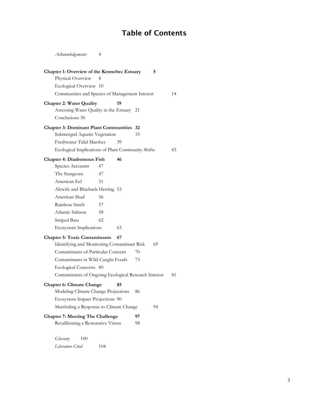## **Table of Contents**

*Acknowledgements* 4

| Chapter 1: Overview of the Kennebec Estuary<br>Physical Overview | 8   |    |    | 5 |    |
|------------------------------------------------------------------|-----|----|----|---|----|
| Ecological Overview 10                                           |     |    |    |   |    |
| Communities and Species of Management Interest                   |     |    |    |   | 14 |
| <b>Chapter 2: Water Quality</b>                                  |     | 19 |    |   |    |
| Assessing Water Quality in the Estuary 21                        |     |    |    |   |    |
| Conclusions 30                                                   |     |    |    |   |    |
| <b>Chapter 3: Dominant Plant Communities 32</b>                  |     |    |    |   |    |
| Submerged Aquatic Vegetation                                     |     |    | 33 |   |    |
| Freshwater Tidal Marshes                                         |     | 39 |    |   |    |
| Ecological Implications of Plant Community Shifts                |     |    |    |   | 43 |
| <b>Chapter 4: Diadromous Fish</b>                                |     | 46 |    |   |    |
| Species Accounts                                                 | 47  |    |    |   |    |
| The Sturgeons                                                    | 47  |    |    |   |    |
| American Eel                                                     | 51  |    |    |   |    |
| Alewife and Blueback Herring 53                                  |     |    |    |   |    |
| American Shad                                                    | 56  |    |    |   |    |
| Rainbow Smelt                                                    | 57  |    |    |   |    |
| Atlantic Salmon                                                  | 58  |    |    |   |    |
| <b>Striped Bass</b>                                              | 62  |    |    |   |    |
| <b>Ecosystem Implications</b>                                    |     | 63 |    |   |    |
| <b>Chapter 5: Toxic Contaminants</b><br>67                       |     |    |    |   |    |
| Identifying and Monitoring Contaminant Risk<br>69                |     |    |    |   |    |
| Contaminants of Particular Concern                               |     |    | 70 |   |    |
| Contaminants in Wild-Caught Foods                                |     |    | 73 |   |    |
| Ecological Concerns 80                                           |     |    |    |   |    |
| Contaminants of Ongoing Ecological Research Interest             |     |    |    |   | 81 |
| <b>Chapter 6: Climate Change</b>                                 |     | 85 |    |   |    |
| Modeling Climate Change Projections                              |     |    | 86 |   |    |
| Ecosystem Impact Projections 90                                  |     |    |    |   |    |
| 94<br>Marshaling a Response to Climate Change                    |     |    |    |   |    |
| <b>Chapter 7: Meeting The Challenge</b>                          |     |    | 97 |   |    |
| Recalibrating a Restorative Vision                               |     |    | 98 |   |    |
|                                                                  |     |    |    |   |    |
| 100<br>Glossary<br>Literature Cited                              | 104 |    |    |   |    |
|                                                                  |     |    |    |   |    |